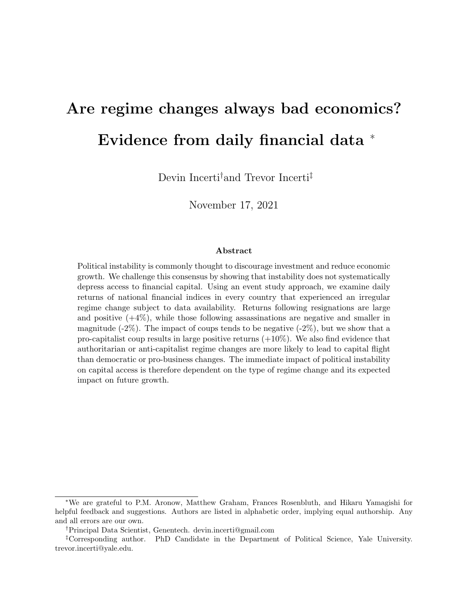# <span id="page-0-0"></span>Are regime changes always bad economics? Evidence from daily financial data <sup>∗</sup>

Devin Incerti†and Trevor Incerti‡

November 17, 2021

#### Abstract

Political instability is commonly thought to discourage investment and reduce economic growth. We challenge this consensus by showing that instability does not systematically depress access to financial capital. Using an event study approach, we examine daily returns of national financial indices in every country that experienced an irregular regime change subject to data availability. Returns following resignations are large and positive  $(+4\%)$ , while those following assassinations are negative and smaller in magnitude  $(-2\%)$ . The impact of coups tends to be negative  $(-2\%)$ , but we show that a pro-capitalist coup results in large positive returns  $(+10\%)$ . We also find evidence that authoritarian or anti-capitalist regime changes are more likely to lead to capital flight than democratic or pro-business changes. The immediate impact of political instability on capital access is therefore dependent on the type of regime change and its expected impact on future growth.

<sup>∗</sup>We are grateful to P.M. Aronow, Matthew Graham, Frances Rosenbluth, and Hikaru Yamagishi for helpful feedback and suggestions. Authors are listed in alphabetic order, implying equal authorship. Any and all errors are our own.

<sup>†</sup>Principal Data Scientist, Genentech. devin.incerti@gmail.com

<sup>‡</sup>Corresponding author. PhD Candidate in the Department of Political Science, Yale University. trevor.incerti@yale.edu.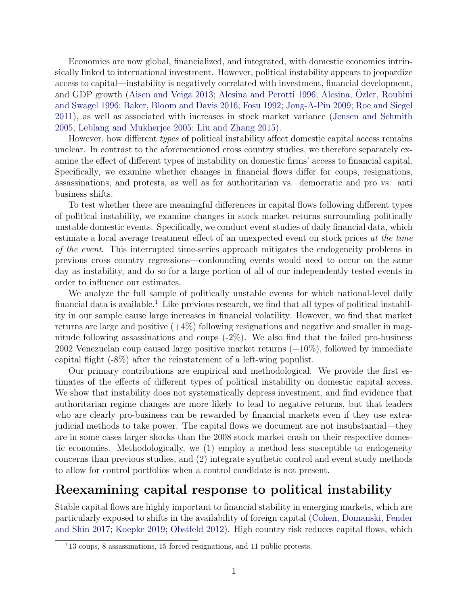Economies are now global, financialized, and integrated, with domestic economies intrinsically linked to international investment. However, political instability appears to jeopardize access to capital—instability is negatively correlated with investment, financial development, and GDP growth [\(Aisen and Veiga](#page-10-0) [2013;](#page-10-0) [Alesina and Perotti](#page-10-1) [1996;](#page-10-1) Alesina, [Ozler, Roubini](#page-10-2) ¨ [and Swagel](#page-10-2) [1996;](#page-10-2) [Baker, Bloom and Davis](#page-10-3) [2016;](#page-10-3) [Fosu](#page-10-4) [1992;](#page-10-4) [Jong-A-Pin](#page-10-5) [2009;](#page-10-5) [Roe and Siegel](#page-11-0) [2011\)](#page-11-0), as well as associated with increases in stock market variance [\(Jensen and Schmith](#page-10-6) [2005;](#page-10-6) [Leblang and Mukherjee](#page-11-1) [2005;](#page-11-1) [Liu and Zhang](#page-11-2) [2015\)](#page-11-2).

However, how different types of political instability affect domestic capital access remains unclear. In contrast to the aforementioned cross country studies, we therefore separately examine the effect of different types of instability on domestic firms' access to financial capital. Specifically, we examine whether changes in financial flows differ for coups, resignations, assassinations, and protests, as well as for authoritarian vs. democratic and pro vs. anti business shifts.

To test whether there are meaningful differences in capital flows following different types of political instability, we examine changes in stock market returns surrounding politically unstable domestic events. Specifically, we conduct event studies of daily financial data, which estimate a local average treatment effect of an unexpected event on stock prices at the time of the event. This interrupted time-series approach mitigates the endogeneity problems in previous cross country regressions—confounding events would need to occur on the same day as instability, and do so for a large portion of all of our independently tested events in order to influence our estimates.

We analyze the full sample of politically unstable events for which national-level daily financial data is available.<sup>[1](#page-1-0)</sup> Like previous research, we find that all types of political instability in our sample cause large increases in financial volatility. However, we find that market returns are large and positive  $(+4\%)$  following resignations and negative and smaller in magnitude following assassinations and coups  $(-2\%)$ . We also find that the failed pro-business 2002 Venezuelan coup caused large positive market returns (+10%), followed by immediate capital flight (-8%) after the reinstatement of a left-wing populist.

Our primary contributions are empirical and methodological. We provide the first estimates of the effects of different types of political instability on domestic capital access. We show that instability does not systematically depress investment, and find evidence that authoritarian regime changes are more likely to lead to negative returns, but that leaders who are clearly pro-business can be rewarded by financial markets even if they use extrajudicial methods to take power. The capital flows we document are not insubstantial—they are in some cases larger shocks than the 2008 stock market crash on their respective domestic economies. Methodologically, we (1) employ a method less susceptible to endogeneity concerns than previous studies, and (2) integrate synthetic control and event study methods to allow for control portfolios when a control candidate is not present.

### Reexamining capital response to political instability

Stable capital flows are highly important to financial stability in emerging markets, which are particularly exposed to shifts in the availability of foreign capital [\(Cohen, Domanski, Fender](#page-10-7) [and Shin](#page-10-7) [2017;](#page-10-7) [Koepke](#page-10-8) [2019;](#page-10-8) [Obstfeld](#page-11-3) [2012\)](#page-11-3). High country risk reduces capital flows, which

<span id="page-1-0"></span><sup>1</sup>13 coups, 8 assassinations, 15 forced resignations, and 11 public protests.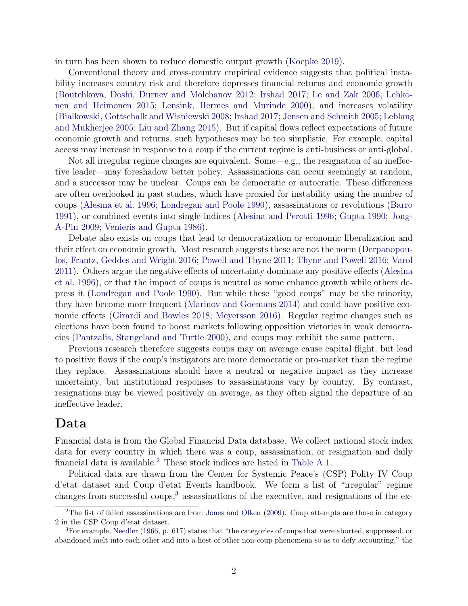in turn has been shown to reduce domestic output growth [\(Koepke](#page-10-8) [2019\)](#page-10-8).

Conventional theory and cross-country empirical evidence suggests that political instability increases country risk and therefore depresses financial returns and economic growth [\(Boutchkova, Doshi, Durnev and Molchanov](#page-10-9) [2012;](#page-10-9) [Irshad](#page-10-10) [2017;](#page-10-10) [Le and Zak](#page-11-4) [2006;](#page-11-4) [Lehko](#page-11-5)[nen and Heimonen](#page-11-5) [2015;](#page-11-5) [Lensink, Hermes and Murinde](#page-11-6) [2000\)](#page-11-6), and increases volatility [\(Bialkowski, Gottschalk and Wisniewski](#page-10-11) [2008;](#page-10-11) [Irshad](#page-10-10) [2017;](#page-10-10) [Jensen and Schmith](#page-10-6) [2005;](#page-10-6) [Leblang](#page-11-1) [and Mukherjee](#page-11-1) [2005;](#page-11-1) [Liu and Zhang](#page-11-2) [2015\)](#page-11-2). But if capital flows reflect expectations of future economic growth and returns, such hypotheses may be too simplistic. For example, capital access may increase in response to a coup if the current regime is anti-business or anti-global.

Not all irregular regime changes are equivalent. Some—e.g., the resignation of an ineffective leader—may foreshadow better policy. Assassinations can occur seemingly at random, and a successor may be unclear. Coups can be democratic or autocratic. These differences are often overlooked in past studies, which have proxied for instability using the number of coups [\(Alesina et al.](#page-10-2) [1996;](#page-10-2) [Londregan and Poole](#page-11-7) [1990\)](#page-11-7), assassinations or revolutions [\(Barro](#page-10-12) [1991\)](#page-10-12), or combined events into single indices [\(Alesina and Perotti](#page-10-1) [1996;](#page-10-1) [Gupta](#page-10-13) [1990;](#page-10-13) [Jong-](#page-10-5)[A-Pin](#page-10-5) [2009;](#page-10-5) [Venieris and Gupta](#page-11-8) [1986\)](#page-11-8).

Debate also exists on coups that lead to democratization or economic liberalization and their effect on economic growth. Most research suggests these are not the norm [\(Derpanopou](#page-10-14)[los, Frantz, Geddes and Wright](#page-10-14) [2016;](#page-10-14) [Powell and Thyne](#page-11-9) [2011;](#page-11-9) [Thyne and Powell](#page-11-10) [2016;](#page-11-10) [Varol](#page-11-11) [2011\)](#page-11-11). Others argue the negative effects of uncertainty dominate any positive effects [\(Alesina](#page-10-2) [et al.](#page-10-2) [1996\)](#page-10-2), or that the impact of coups is neutral as some enhance growth while others depress it [\(Londregan and Poole](#page-11-7) [1990\)](#page-11-7). But while these "good coups" may be the minority, they have become more frequent [\(Marinov and Goemans](#page-11-12) [2014\)](#page-11-12) and could have positive economic effects [\(Girardi and Bowles](#page-10-15) [2018;](#page-10-15) [Meyersson](#page-11-13) [2016\)](#page-11-13). Regular regime changes such as elections have been found to boost markets following opposition victories in weak democracies [\(Pantzalis, Stangeland and Turtle](#page-11-14) [2000\)](#page-11-14), and coups may exhibit the same pattern.

Previous research therefore suggests coups may on average cause capital flight, but lead to positive flows if the coup's instigators are more democratic or pro-market than the regime they replace. Assassinations should have a neutral or negative impact as they increase uncertainty, but institutional responses to assassinations vary by country. By contrast, resignations may be viewed positively on average, as they often signal the departure of an ineffective leader.

### Data

Financial data is from the Global Financial Data database. We collect national stock index data for every country in which there was a coup, assassination, or resignation and daily financial data is available.[2](#page-2-0) These stock indices are listed in [Table A.1.](#page-12-0)

Political data are drawn from the Center for Systemic Peace's (CSP) Polity IV Coup d'etat dataset and Coup d'etat Events handbook. We form a list of "irregular" regime changes from successful coups,<sup>[3](#page-2-1)</sup> assassinations of the executive, and resignations of the ex-

<span id="page-2-0"></span><sup>&</sup>lt;sup>2</sup>The list of failed assassinations are from [Jones and Olken](#page-10-16) [\(2009\)](#page-10-16). Coup attempts are those in category 2 in the CSP Coup d'etat dataset.

<span id="page-2-1"></span> ${}^{3}$  For example, [Needler](#page-11-15) [\(1966,](#page-11-15) p. 617) states that "the categories of coups that were aborted, suppressed, or abandoned melt into each other and into a host of other non-coup phenomena so as to defy accounting," the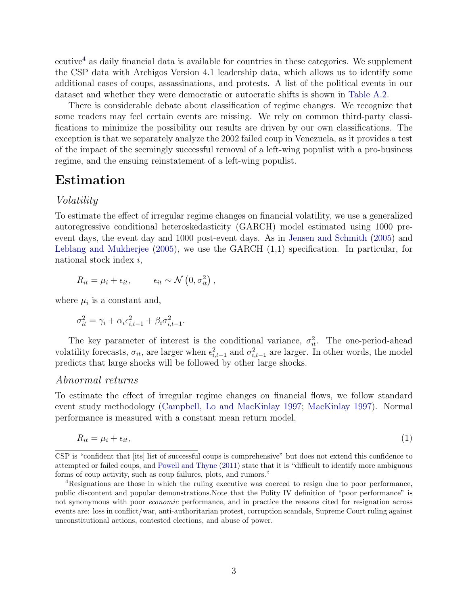ecutive[4](#page-3-0) as daily financial data is available for countries in these categories. We supplement the CSP data with Archigos Version 4.1 leadership data, which allows us to identify some additional cases of coups, assassinations, and protests. A list of the political events in our dataset and whether they were democratic or autocratic shifts is shown in [Table A.2.](#page-13-0)

There is considerable debate about classification of regime changes. We recognize that some readers may feel certain events are missing. We rely on common third-party classifications to minimize the possibility our results are driven by our own classifications. The exception is that we separately analyze the 2002 failed coup in Venezuela, as it provides a test of the impact of the seemingly successful removal of a left-wing populist with a pro-business regime, and the ensuing reinstatement of a left-wing populist.

### Estimation

#### Volatility

To estimate the effect of irregular regime changes on financial volatility, we use a generalized autoregressive conditional heteroskedasticity (GARCH) model estimated using 1000 preevent days, the event day and 1000 post-event days. As in [Jensen and Schmith](#page-10-6) [\(2005\)](#page-10-6) and [Leblang and Mukherjee](#page-11-1) [\(2005\)](#page-11-1), we use the GARCH (1,1) specification. In particular, for national stock index i,

$$
R_{it} = \mu_i + \epsilon_{it}, \qquad \epsilon_{it} \sim \mathcal{N}\left(0, \sigma_{it}^2\right),
$$

where  $\mu_i$  is a constant and,

$$
\sigma_{it}^2 = \gamma_i + \alpha_i \epsilon_{i,t-1}^2 + \beta_i \sigma_{i,t-1}^2.
$$

The key parameter of interest is the conditional variance,  $\sigma_{it}^2$ . The one-period-ahead volatility forecasts,  $\sigma_{it}$ , are larger when  $\epsilon_{i,t-1}^2$  and  $\sigma_{i,t-1}^2$  are larger. In other words, the model predicts that large shocks will be followed by other large shocks.

#### Abnormal returns

To estimate the effect of irregular regime changes on financial flows, we follow standard event study methodology [\(Campbell, Lo and MacKinlay](#page-10-17) [1997;](#page-10-17) [MacKinlay](#page-11-16) [1997\)](#page-11-16). Normal performance is measured with a constant mean return model,

<span id="page-3-1"></span>
$$
R_{it} = \mu_i + \epsilon_{it},\tag{1}
$$

CSP is "confident that [its] list of successful coups is comprehensive" but does not extend this confidence to attempted or failed coups, and [Powell and Thyne](#page-11-9) [\(2011\)](#page-11-9) state that it is "difficult to identify more ambiguous forms of coup activity, such as coup failures, plots, and rumors."

<span id="page-3-0"></span><sup>&</sup>lt;sup>4</sup>Resignations are those in which the ruling executive was coerced to resign due to poor performance, public discontent and popular demonstrations.Note that the Polity IV definition of "poor performance" is not synonymous with poor economic performance, and in practice the reasons cited for resignation across events are: loss in conflict/war, anti-authoritarian protest, corruption scandals, Supreme Court ruling against unconstitutional actions, contested elections, and abuse of power.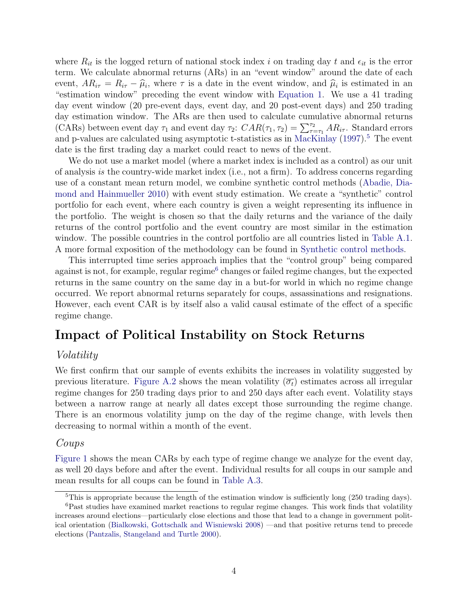where  $R_{it}$  is the logged return of national stock index i on trading day t and  $\epsilon_{it}$  is the error term. We calculate abnormal returns (ARs) in an "event window" around the date of each event,  $AR_{i\tau} = R_{i\tau} - \hat{\mu}_i$ , where  $\tau$  is a date in the event window, and  $\hat{\mu}_i$  is estimated in an "estimation window" preceding the event window with Equation 1. We use a 41 trading "estimation window" preceding the event window with [Equation 1.](#page-3-1) We use a 41 trading day event window (20 pre-event days, event day, and 20 post-event days) and 250 trading day estimation window. The ARs are then used to calculate cumulative abnormal returns (CARs) between event day  $\tau_1$  and event day  $\tau_2$ :  $CAR(\tau_1, \tau_2) = \sum_{\tau=\tau_1}^{\tau_2} AR_{i\tau}$ . Standard errors and p-values are calculated using asymptotic t-statistics as in [MacKinlay](#page-11-16)  $(1997)$ <sup>[5](#page-4-0)</sup>. The event date is the first trading day a market could react to news of the event.

We do not use a market model (where a market index is included as a control) as our unit of analysis is the country-wide market index (i.e., not a firm). To address concerns regarding use of a constant mean return model, we combine synthetic control methods [\(Abadie, Dia](#page-10-18)[mond and Hainmueller](#page-10-18) [2010\)](#page-10-18) with event study estimation. We create a "synthetic" control portfolio for each event, where each country is given a weight representing its influence in the portfolio. The weight is chosen so that the daily returns and the variance of the daily returns of the control portfolio and the event country are most similar in the estimation window. The possible countries in the control portfolio are all countries listed in [Table A.1.](#page-12-0) A more formal exposition of the methodology can be found in [Synthetic control methods.](#page-14-0)

This interrupted time series approach implies that the "control group" being compared against is not, for example, regular regime<sup>[6](#page-4-1)</sup> changes or failed regime changes, but the expected returns in the same country on the same day in a but-for world in which no regime change occurred. We report abnormal returns separately for coups, assassinations and resignations. However, each event CAR is by itself also a valid causal estimate of the effect of a specific regime change.

### Impact of Political Instability on Stock Returns

### Volatility

We first confirm that our sample of events exhibits the increases in volatility suggested by previous literature. [Figure A.2](#page-16-0) shows the mean volatility  $(\overline{\sigma_t})$  estimates across all irregular regime changes for 250 trading days prior to and 250 days after each event. Volatility stays between a narrow range at nearly all dates except those surrounding the regime change. There is an enormous volatility jump on the day of the regime change, with levels then decreasing to normal within a month of the event.

### Coups

[Figure 1](#page-5-0) shows the mean CARs by each type of regime change we analyze for the event day, as well 20 days before and after the event. Individual results for all coups in our sample and mean results for all coups can be found in [Table A.3.](#page-17-0)

<span id="page-4-1"></span><span id="page-4-0"></span><sup>&</sup>lt;sup>5</sup>This is appropriate because the length of the estimation window is sufficiently long (250 trading days).

<sup>6</sup>Past studies have examined market reactions to regular regime changes. This work finds that volatility increases around elections—particularly close elections and those that lead to a change in government political orientation [\(Bialkowski, Gottschalk and Wisniewski](#page-10-11) [2008\)](#page-10-11) —and that positive returns tend to precede elections [\(Pantzalis, Stangeland and Turtle](#page-11-14) [2000\)](#page-11-14).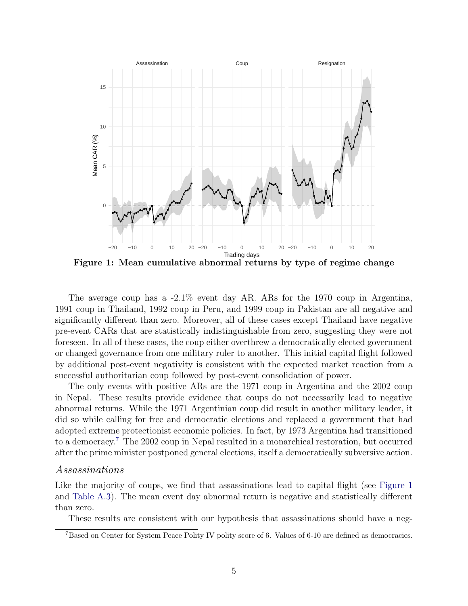<span id="page-5-0"></span>

Figure 1: Mean cumulative abnormal returns by type of regime change

The average coup has a -2.1% event day AR. ARs for the 1970 coup in Argentina, 1991 coup in Thailand, 1992 coup in Peru, and 1999 coup in Pakistan are all negative and significantly different than zero. Moreover, all of these cases except Thailand have negative pre-event CARs that are statistically indistinguishable from zero, suggesting they were not foreseen. In all of these cases, the coup either overthrew a democratically elected government or changed governance from one military ruler to another. This initial capital flight followed by additional post-event negativity is consistent with the expected market reaction from a successful authoritarian coup followed by post-event consolidation of power.

The only events with positive ARs are the 1971 coup in Argentina and the 2002 coup in Nepal. These results provide evidence that coups do not necessarily lead to negative abnormal returns. While the 1971 Argentinian coup did result in another military leader, it did so while calling for free and democratic elections and replaced a government that had adopted extreme protectionist economic policies. In fact, by 1973 Argentina had transitioned to a democracy.[7](#page-5-1) The 2002 coup in Nepal resulted in a monarchical restoration, but occurred after the prime minister postponed general elections, itself a democratically subversive action.

#### Assassinations

Like the majority of coups, we find that assassinations lead to capital flight (see [Figure 1](#page-5-0)) and [Table A.3\)](#page-17-0). The mean event day abnormal return is negative and statistically different than zero.

These results are consistent with our hypothesis that assassinations should have a neg-

<span id="page-5-1"></span><sup>7</sup>Based on Center for System Peace Polity IV polity score of 6. Values of 6-10 are defined as democracies.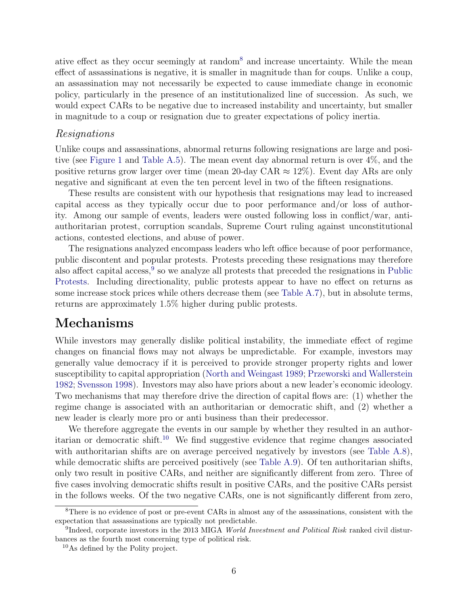ative effect as they occur seemingly at random[8](#page-6-0) and increase uncertainty. While the mean effect of assassinations is negative, it is smaller in magnitude than for coups. Unlike a coup, an assassination may not necessarily be expected to cause immediate change in economic policy, particularly in the presence of an institutionalized line of succession. As such, we would expect CARs to be negative due to increased instability and uncertainty, but smaller in magnitude to a coup or resignation due to greater expectations of policy inertia.

#### Resignations

Unlike coups and assassinations, abnormal returns following resignations are large and positive (see [Figure 1](#page-5-0) and [Table A.5\)](#page-19-0). The mean event day abnormal return is over 4%, and the positive returns grow larger over time (mean 20-day CAR  $\approx 12\%$ ). Event day ARs are only negative and significant at even the ten percent level in two of the fifteen resignations.

These results are consistent with our hypothesis that resignations may lead to increased capital access as they typically occur due to poor performance and/or loss of authority. Among our sample of events, leaders were ousted following loss in conflict/war, antiauthoritarian protest, corruption scandals, Supreme Court ruling against unconstitutional actions, contested elections, and abuse of power.

The resignations analyzed encompass leaders who left office because of poor performance, public discontent and popular protests. Protests preceding these resignations may therefore also affect capital access,  $9$  so we analyze all protests that preceded the resignations in [Public](#page-19-1) [Protests.](#page-19-1) Including directionality, public protests appear to have no effect on returns as some increase stock prices while others decrease them (see [Table A.7\)](#page-22-0), but in absolute terms, returns are approximately 1.5% higher during public protests.

### Mechanisms

While investors may generally dislike political instability, the immediate effect of regime changes on financial flows may not always be unpredictable. For example, investors may generally value democracy if it is perceived to provide stronger property rights and lower susceptibility to capital appropriation [\(North and Weingast](#page-11-17) [1989;](#page-11-17) [Przeworski and Wallerstein](#page-11-18) [1982;](#page-11-18) [Svensson](#page-11-19) [1998\)](#page-11-19). Investors may also have priors about a new leader's economic ideology. Two mechanisms that may therefore drive the direction of capital flows are: (1) whether the regime change is associated with an authoritarian or democratic shift, and (2) whether a new leader is clearly more pro or anti business than their predecessor.

We therefore aggregate the events in our sample by whether they resulted in an author-itarian or democratic shift.<sup>[10](#page-6-2)</sup> We find suggestive evidence that regime changes associated with authoritarian shifts are on average perceived negatively by investors (see [Table A.8\)](#page-23-0), while democratic shifts are perceived positively (see [Table A.9\)](#page-24-0). Of ten authoritarian shifts, only two result in positive CARs, and neither are significantly different from zero. Three of five cases involving democratic shifts result in positive CARs, and the positive CARs persist in the follows weeks. Of the two negative CARs, one is not significantly different from zero,

<span id="page-6-0"></span><sup>8</sup>There is no evidence of post or pre-event CARs in almost any of the assassinations, consistent with the expectation that assassinations are typically not predictable.

<span id="page-6-1"></span><sup>&</sup>lt;sup>9</sup>Indeed, corporate investors in the 2013 MIGA World Investment and Political Risk ranked civil disturbances as the fourth most concerning type of political risk.

<span id="page-6-2"></span><sup>10</sup>As defined by the Polity project.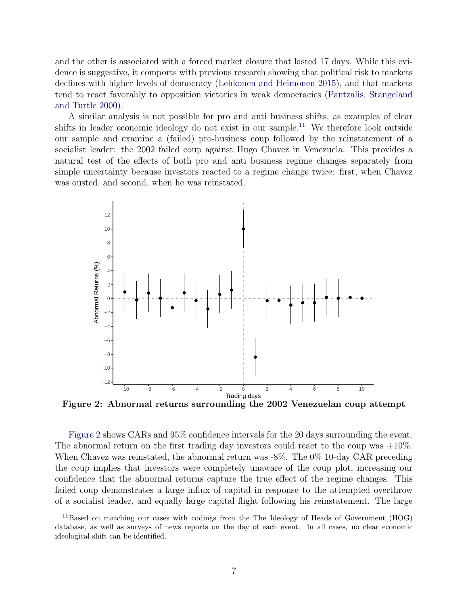and the other is associated with a forced market closure that lasted 17 days. While this evidence is suggestive, it comports with previous research showing that political risk to markets declines with higher levels of democracy [\(Lehkonen and Heimonen](#page-11-5) [2015\)](#page-11-5), and that markets tend to react favorably to opposition victories in weak democracies [\(Pantzalis, Stangeland](#page-11-14) [and Turtle](#page-11-14) [2000\)](#page-11-14).

A similar analysis is not possible for pro and anti business shifts, as examples of clear shifts in leader economic ideology do not exist in our sample.<sup>[11](#page-7-0)</sup> We therefore look outside our sample and examine a (failed) pro-business coup followed by the reinstatement of a socialist leader: the 2002 failed coup against Hugo Chavez in Venezuela. This provides a natural test of the effects of both pro and anti business regime changes separately from simple uncertainty because investors reacted to a regime change twice: first, when Chavez was ousted, and second, when he was reinstated.

<span id="page-7-1"></span>

Figure 2: Abnormal returns surrounding the 2002 Venezuelan coup attempt

[Figure 2](#page-7-1) shows CARs and 95% confidence intervals for the 20 days surrounding the event. The abnormal return on the first trading day investors could react to the coup was  $+10\%$ . When Chavez was reinstated, the abnormal return was -8%. The 0% 10-day CAR preceding the coup implies that investors were completely unaware of the coup plot, increasing our confidence that the abnormal returns capture the true effect of the regime changes. This failed coup demonstrates a large influx of capital in response to the attempted overthrow of a socialist leader, and equally large capital flight following his reinstatement. The large

<span id="page-7-0"></span><sup>&</sup>lt;sup>11</sup>Based on matching our cases with codings from the The Ideology of Heads of Government (HOG) database, as well as surveys of news reports on the day of each event. In all cases, no clear economic ideological shift can be identified.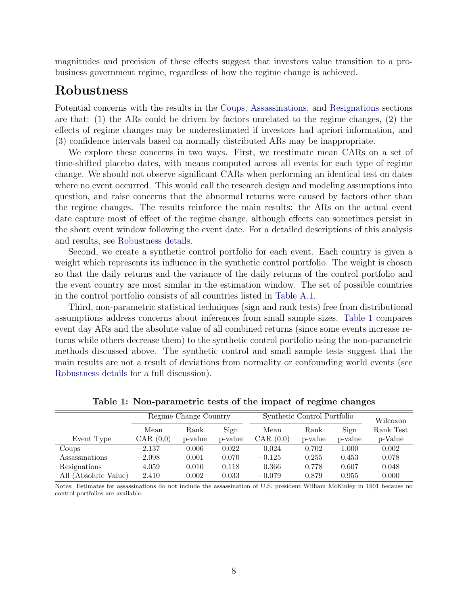magnitudes and precision of these effects suggest that investors value transition to a probusiness government regime, regardless of how the regime change is achieved.

### Robustness

Potential concerns with the results in the [Coups,](#page-3-1) [Assassinations,](#page-5-0) and [Resignations](#page-5-0) sections are that: (1) the ARs could be driven by factors unrelated to the regime changes, (2) the effects of regime changes may be underestimated if investors had apriori information, and (3) confidence intervals based on normally distributed ARs may be inappropriate.

We explore these concerns in two ways. First, we reestimate mean CARs on a set of time-shifted placebo dates, with means computed across all events for each type of regime change. We should not observe significant CARs when performing an identical test on dates where no event occurred. This would call the research design and modeling assumptions into question, and raise concerns that the abnormal returns were caused by factors other than the regime changes. The results reinforce the main results: the ARs on the actual event date capture most of effect of the regime change, although effects can sometimes persist in the short event window following the event date. For a detailed descriptions of this analysis and results, see [Robustness details.](#page-24-1)

Second, we create a synthetic control portfolio for each event. Each country is given a weight which represents its influence in the synthetic control portfolio. The weight is chosen so that the daily returns and the variance of the daily returns of the control portfolio and the event country are most similar in the estimation window. The set of possible countries in the control portfolio consists of all countries listed in [Table A.1.](#page-12-0)

Third, non-parametric statistical techniques (sign and rank tests) free from distributional assumptions address concerns about inferences from small sample sizes. [Table 1](#page-8-0) compares event day ARs and the absolute value of all combined returns (since some events increase returns while others decrease them) to the synthetic control portfolio using the non-parametric methods discussed above. The synthetic control and small sample tests suggest that the main results are not a result of deviations from normality or confounding world events (see [Robustness details](#page-24-1) for a full discussion).

<span id="page-8-0"></span>

|                      |             | Regime Change Country |         | Synthetic Control Portfolio | Wilcoxon |           |           |
|----------------------|-------------|-----------------------|---------|-----------------------------|----------|-----------|-----------|
|                      | Mean        | Rank                  | Sign    | Mean                        | Rank     | Sign      | Rank Test |
| Event Type           | CAR $(0,0)$ | p-value               | p-value | CAR $(0,0)$                 | p-value  | p-value   | p-Value   |
| Coups                | $-2.137$    | 0.006                 | 0.022   | 0.024                       | 0.702    | $1.000\,$ | 0.002     |
| Assassinations       | $-2.098$    | 0.001                 | 0.070   | $-0.125$                    | 0.255    | 0.453     | 0.078     |
| Resignations         | 4.059       | 0.010                 | 0.118   | 0.366                       | 0.778    | 0.607     | 0.048     |
| All (Absolute Value) | 2.410       | $0.002\,$             | 0.033   | $-0.079$                    | 0.879    | 0.955     | 0.000     |

Table 1: Non-parametric tests of the impact of regime changes

Notes: Estimates for assassinations do not include the assassination of U.S. president William McKinley in 1901 because no control portfolios are available.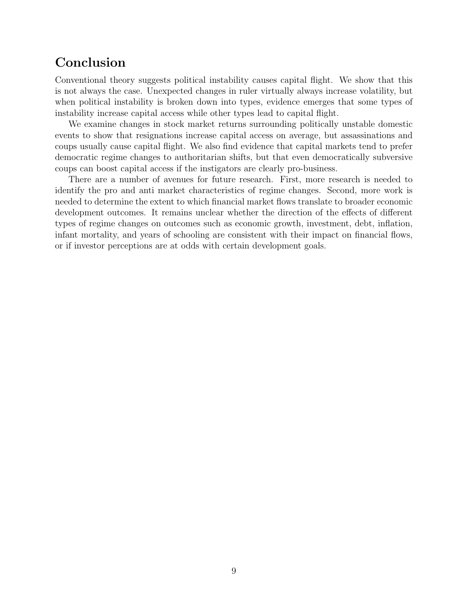### Conclusion

Conventional theory suggests political instability causes capital flight. We show that this is not always the case. Unexpected changes in ruler virtually always increase volatility, but when political instability is broken down into types, evidence emerges that some types of instability increase capital access while other types lead to capital flight.

We examine changes in stock market returns surrounding politically unstable domestic events to show that resignations increase capital access on average, but assassinations and coups usually cause capital flight. We also find evidence that capital markets tend to prefer democratic regime changes to authoritarian shifts, but that even democratically subversive coups can boost capital access if the instigators are clearly pro-business.

There are a number of avenues for future research. First, more research is needed to identify the pro and anti market characteristics of regime changes. Second, more work is needed to determine the extent to which financial market flows translate to broader economic development outcomes. It remains unclear whether the direction of the effects of different types of regime changes on outcomes such as economic growth, investment, debt, inflation, infant mortality, and years of schooling are consistent with their impact on financial flows, or if investor perceptions are at odds with certain development goals.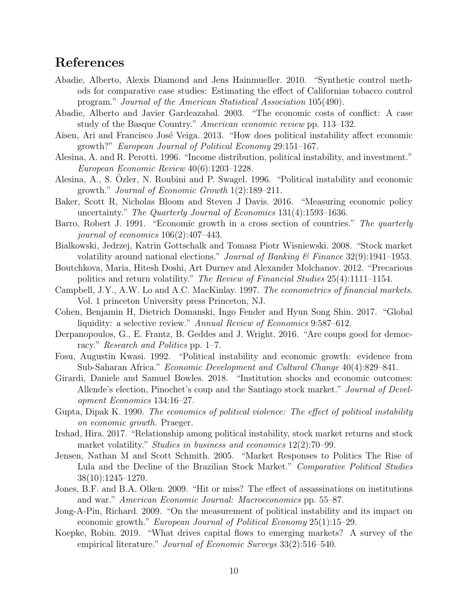### References

- <span id="page-10-18"></span>Abadie, Alberto, Alexis Diamond and Jens Hainmueller. 2010. "Synthetic control methods for comparative case studies: Estimating the effect of Californias tobacco control program." Journal of the American Statistical Association 105(490).
- <span id="page-10-19"></span>Abadie, Alberto and Javier Gardeazabal. 2003. "The economic costs of conflict: A case study of the Basque Country." American economic review pp. 113–132.
- <span id="page-10-0"></span>Aisen, Ari and Francisco José Veiga. 2013. "How does political instability affect economic growth?" European Journal of Political Economy 29:151–167.
- <span id="page-10-1"></span>Alesina, A. and R. Perotti. 1996. "Income distribution, political instability, and investment." European Economic Review 40(6):1203–1228.
- <span id="page-10-2"></span>Alesina, A., S. Ozler, N. Roubini and P. Swagel. 1996. "Political instability and economic ¨ growth." Journal of Economic Growth 1(2):189–211.
- <span id="page-10-3"></span>Baker, Scott R, Nicholas Bloom and Steven J Davis. 2016. "Measuring economic policy uncertainty." The Quarterly Journal of Economics 131(4):1593–1636.
- <span id="page-10-12"></span>Barro, Robert J. 1991. "Economic growth in a cross section of countries." The quarterly journal of economics 106(2):407–443.
- <span id="page-10-11"></span>Bialkowski, Jedrzej, Katrin Gottschalk and Tomasz Piotr Wisniewski. 2008. "Stock market volatility around national elections." Journal of Banking & Finance 32(9):1941–1953.
- <span id="page-10-9"></span>Boutchkova, Maria, Hitesh Doshi, Art Durnev and Alexander Molchanov. 2012. "Precarious politics and return volatility." The Review of Financial Studies 25(4):1111–1154.
- <span id="page-10-17"></span>Campbell, J.Y., A.W. Lo and A.C. MacKinlay. 1997. The econometrics of financial markets. Vol. 1 princeton University press Princeton, NJ.
- <span id="page-10-7"></span>Cohen, Benjamin H, Dietrich Domanski, Ingo Fender and Hyun Song Shin. 2017. "Global liquidity: a selective review." Annual Review of Economics 9:587-612.
- <span id="page-10-14"></span>Derpanopoulos, G., E. Frantz, B. Geddes and J. Wright. 2016. "Are coups good for democracy." Research and Politics pp. 1–7.
- <span id="page-10-4"></span>Fosu, Augustin Kwasi. 1992. "Political instability and economic growth: evidence from Sub-Saharan Africa." Economic Development and Cultural Change 40(4):829–841.
- <span id="page-10-15"></span>Girardi, Daniele and Samuel Bowles. 2018. "Institution shocks and economic outcomes: Allende's election, Pinochet's coup and the Santiago stock market." Journal of Development Economics 134:16–27.
- <span id="page-10-13"></span>Gupta, Dipak K. 1990. The economics of political violence: The effect of political instability on economic growth. Praeger.
- <span id="page-10-10"></span>Irshad, Hira. 2017. "Relationship among political instability, stock market returns and stock market volatility." *Studies in business and economics* 12(2):70–99.
- <span id="page-10-6"></span>Jensen, Nathan M and Scott Schmith. 2005. "Market Responses to Politics The Rise of Lula and the Decline of the Brazilian Stock Market." Comparative Political Studies 38(10):1245–1270.
- <span id="page-10-16"></span>Jones, B.F. and B.A. Olken. 2009. "Hit or miss? The effect of assassinations on institutions and war." American Economic Journal: Macroeconomics pp. 55–87.
- <span id="page-10-5"></span>Jong-A-Pin, Richard. 2009. "On the measurement of political instability and its impact on economic growth." European Journal of Political Economy 25(1):15–29.
- <span id="page-10-8"></span>Koepke, Robin. 2019. "What drives capital flows to emerging markets? A survey of the empirical literature." *Journal of Economic Surveys* 33(2):516–540.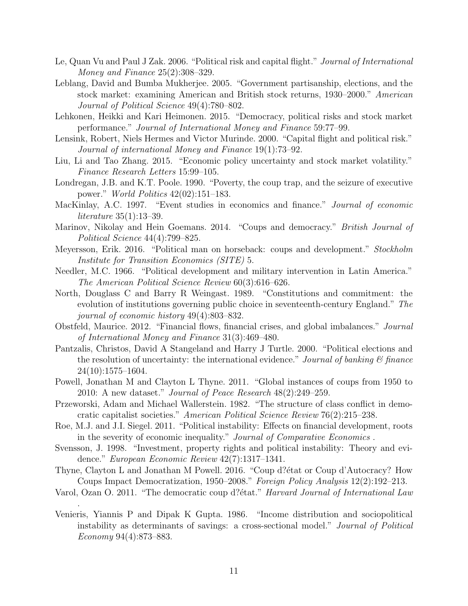- <span id="page-11-4"></span>Le, Quan Vu and Paul J Zak. 2006. "Political risk and capital flight." Journal of International Money and Finance 25(2):308–329.
- <span id="page-11-1"></span>Leblang, David and Bumba Mukherjee. 2005. "Government partisanship, elections, and the stock market: examining American and British stock returns, 1930–2000." American Journal of Political Science 49(4):780–802.
- <span id="page-11-5"></span>Lehkonen, Heikki and Kari Heimonen. 2015. "Democracy, political risks and stock market performance." Journal of International Money and Finance 59:77–99.
- <span id="page-11-6"></span>Lensink, Robert, Niels Hermes and Victor Murinde. 2000. "Capital flight and political risk." Journal of international Money and Finance 19(1):73–92.
- <span id="page-11-2"></span>Liu, Li and Tao Zhang. 2015. "Economic policy uncertainty and stock market volatility." Finance Research Letters 15:99–105.
- <span id="page-11-7"></span>Londregan, J.B. and K.T. Poole. 1990. "Poverty, the coup trap, and the seizure of executive power." World Politics 42(02):151–183.
- <span id="page-11-16"></span>MacKinlay, A.C. 1997. "Event studies in economics and finance." Journal of economic literature 35(1):13–39.
- <span id="page-11-12"></span>Marinov, Nikolay and Hein Goemans. 2014. "Coups and democracy." British Journal of Political Science 44(4):799–825.
- <span id="page-11-13"></span>Meyersson, Erik. 2016. "Political man on horseback: coups and development." Stockholm Institute for Transition Economics (SITE) 5.
- <span id="page-11-15"></span>Needler, M.C. 1966. "Political development and military intervention in Latin America." The American Political Science Review 60(3):616–626.
- <span id="page-11-17"></span>North, Douglass C and Barry R Weingast. 1989. "Constitutions and commitment: the evolution of institutions governing public choice in seventeenth-century England." The journal of economic history 49(4):803–832.
- <span id="page-11-3"></span>Obstfeld, Maurice. 2012. "Financial flows, financial crises, and global imbalances." Journal of International Money and Finance 31(3):469–480.
- <span id="page-11-14"></span>Pantzalis, Christos, David A Stangeland and Harry J Turtle. 2000. "Political elections and the resolution of uncertainty: the international evidence." Journal of banking  $\mathcal{C}$  finance 24(10):1575–1604.
- <span id="page-11-9"></span>Powell, Jonathan M and Clayton L Thyne. 2011. "Global instances of coups from 1950 to 2010: A new dataset." Journal of Peace Research 48(2):249–259.
- <span id="page-11-18"></span>Przeworski, Adam and Michael Wallerstein. 1982. "The structure of class conflict in democratic capitalist societies." American Political Science Review 76(2):215–238.
- <span id="page-11-0"></span>Roe, M.J. and J.I. Siegel. 2011. "Political instability: Effects on financial development, roots in the severity of economic inequality." Journal of Comparative Economics .
- <span id="page-11-19"></span>Svensson, J. 1998. "Investment, property rights and political instability: Theory and evidence." European Economic Review 42(7):1317–1341.
- <span id="page-11-10"></span>Thyne, Clayton L and Jonathan M Powell. 2016. "Coup d? $\acute{e}$ tat or Coup d'Autocracy? How Coups Impact Democratization, 1950–2008." Foreign Policy Analysis 12(2):192–213.
- <span id="page-11-11"></span>Varol, Ozan O. 2011. "The democratic coup d? $\acute{e}$ tat." *Harvard Journal of International Law*

.

<span id="page-11-8"></span>Venieris, Yiannis P and Dipak K Gupta. 1986. "Income distribution and sociopolitical instability as determinants of savings: a cross-sectional model." Journal of Political Economy 94(4):873–883.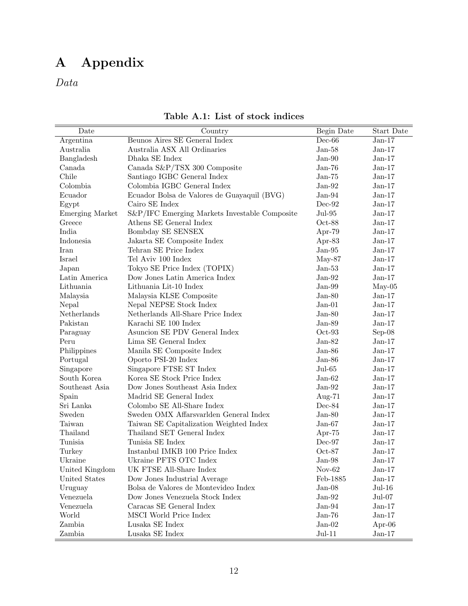# A Appendix

<span id="page-12-0"></span>Data

| Date                   | Country                                       | Begin Date            | Start Date |
|------------------------|-----------------------------------------------|-----------------------|------------|
| Argentina              | Beunos Aires SE General Index                 | $Dec-66$              | $Jan-17$   |
| Australia              | Australia ASX All Ordinaries                  | $Jan-58$              | $Jan-17$   |
| Bangladesh             | Dhaka SE Index                                | $Jan-90$              | $Jan-17$   |
| Canada                 | Canada S&P/TSX 300 Composite                  | $Jan-76$              | $Jan-17$   |
| Chile                  | Santiago IGBC General Index                   | $Jan-75$              | $Jan-17$   |
| Colombia               | Colombia IGBC General Index                   | $Jan-92$              | $Jan-17$   |
| Ecuador                | Ecuador Bolsa de Valores de Guayaquil (BVG)   | $Jan-94$              | $Jan-17$   |
| Egypt                  | Cairo SE Index                                | $Dec-92$              | $Jan-17$   |
| <b>Emerging Market</b> | S&P/IFC Emerging Markets Investable Composite | $Jul-95$              | $Jan-17$   |
| Greece                 | Athens SE General Index                       | $Oct-88$              | $Jan-17$   |
| India                  | Bombday SE SENSEX                             | Apr- $79$             | $Jan-17$   |
| Indonesia              | Jakarta SE Composite Index                    | Apr-83                | $Jan-17$   |
| Iran                   | Tehran SE Price Index                         | $Jan-95$              | $Jan-17$   |
| Israel                 | Tel Aviv 100 Index                            | $May-87$              | $Jan-17$   |
| Japan                  | Tokyo SE Price Index (TOPIX)                  | $Jan-53$              | $Jan-17$   |
| Latin America          | Dow Jones Latin America Index                 | $Jan-92$              | $Jan-17$   |
| Lithuania              | Lithuania Lit-10 Index                        | $Jan-99$              | $May-05$   |
| Malaysia               | Malaysia KLSE Composite                       | $Jan-80$              | $Jan-17$   |
| Nepal                  | Nepal NEPSE Stock Index                       | $Jan-01$              | $Jan-17$   |
| Netherlands            | Netherlands All-Share Price Index             | $Jan-80$              | $Jan-17$   |
| Pakistan               | Karachi $\rm SE$ 100 $\rm Index$              | $Jan-89$              | $Jan-17$   |
| Paraguay               | Asuncion SE PDV General Index                 | $Oct-93$              | $Sep-08$   |
| Peru                   | Lima SE General Index                         | $Jan-82$              | $Jan-17$   |
| Philippines            | Manila SE Composite Index                     | $Jan-86$              | $Jan-17$   |
| Portugal               | Oporto PSI-20 Index                           | $Jan-86$              | $Jan-17$   |
| Singapore              | Singapore FTSE ST Index                       | $Jul-65$              | $Jan-17$   |
| South Korea            | Korea SE Stock Price Index                    | $Jan-62$              | $Jan-17$   |
| Southeast Asia         | Dow Jones Southeast Asia Index                | $Jan-92$              | $Jan-17$   |
| Spain                  | Madrid SE General Index                       | Aug- $71$             | $Jan-17$   |
| Sri Lanka              | Colombo SE All-Share Index                    | $Dec-84$              | $Jan-17$   |
| Sweden                 | Sweden OMX Affarsvarlden General Index        | $Jan-80$              | $Jan-17$   |
| Taiwan                 | Taiwan SE Capitalization Weighted Index       | ${\rm Jan\text{-}67}$ | $Jan-17$   |
| Thailand               | Thailand SET General Index                    | Apr- $75$             | $Jan-17$   |
| Tunisia                | Tunisia SE Index                              | $Dec-97$              | $Jan-17$   |
| Turkey                 | Instanbul IMKB 100 Price Index                | $Oct-87$              | $Jan-17$   |
| Ukraine                | Ukraine PFTS OTC Index                        | $Jan-98$              | $Jan-17$   |
| United Kingdom         | UK FTSE All-Share Index                       | $Nov-62$              | $Jan-17$   |
| United States          | Dow Jones Industrial Average                  | Feb-1885              | $Jan-17$   |
| Uruguay                | Bolsa de Valores de Montevideo Index          | $Jan-08$              | $Jul-16$   |
| Venezuela              | Dow Jones Venezuela Stock Index               | $Jan-92$              | $Jul-07$   |
| Venezuela              | Caracas SE General Index                      | $Jan-94$              | $Jan-17$   |
| World                  | MSCI World Price Index                        | $Jan-76$              | $Jan-17$   |
| Zambia                 | Lusaka SE Index                               | $Jan-02$              | Apr- $06$  |
| Zambia                 | Lusaka SE Index                               | $Jul-11$              | $Jan-17$   |

Table A.1: List of stock indices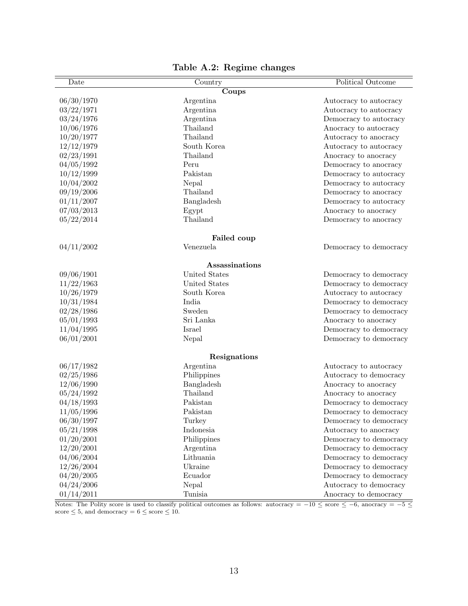<span id="page-13-0"></span>

| Date       | Country        | Political Outcome      |
|------------|----------------|------------------------|
|            | Coups          |                        |
| 06/30/1970 | Argentina      | Autocracy to autocracy |
| 03/22/1971 | Argentina      | Autocracy to autocracy |
| 03/24/1976 | Argentina      | Democracy to autocracy |
| 10/06/1976 | Thailand       | Anocracy to autocracy  |
| 10/20/1977 | Thailand       | Autocracy to anocracy  |
| 12/12/1979 | South Korea    | Autocracy to autocracy |
| 02/23/1991 | Thailand       | Anocracy to anocracy   |
| 04/05/1992 | Peru           | Democracy to anocracy  |
| 10/12/1999 | Pakistan       | Democracy to autocracy |
| 10/04/2002 | Nepal          | Democracy to autocracy |
| 09/19/2006 | Thailand       | Democracy to anocracy  |
| 01/11/2007 | Bangladesh     | Democracy to autocracy |
| 07/03/2013 | Egypt          | Anocracy to anocracy   |
| 05/22/2014 | Thailand       | Democracy to anocracy  |
|            | Failed coup    |                        |
| 04/11/2002 | Venezuela      | Democracy to democracy |
|            | Assassinations |                        |
| 09/06/1901 | United States  | Democracy to democracy |
| 11/22/1963 | United States  | Democracy to democracy |
| 10/26/1979 | South Korea    | Autocracy to autocracy |
| 10/31/1984 | India          | Democracy to democracy |
| 02/28/1986 | Sweden         | Democracy to democracy |
| 05/01/1993 | Sri Lanka      | Anocracy to anocracy   |
| 11/04/1995 | Israel         | Democracy to democracy |
| 06/01/2001 | Nepal          | Democracy to democracy |
|            | Resignations   |                        |
| 06/17/1982 | Argentina      | Autocracy to autocracy |
| 02/25/1986 | Philippines    | Autocracy to democracy |
| 12/06/1990 | Bangladesh     | Anocracy to anocracy   |
| 05/24/1992 | Thailand       | Anocracy to anocracy   |
| 04/18/1993 | Pakistan       | Democracy to democracy |
| 11/05/1996 | Pakistan       | Democracy to democracy |
| 06/30/1997 | Turkey         | Democracy to democracy |
| 05/21/1998 | Indonesia      | Autocracy to anocracy  |
| 01/20/2001 | Philippines    | Democracy to democracy |
| 12/20/2001 | Argentina      | Democracy to democracy |
| 04/06/2004 | Lithuania      | Democracy to democracy |
| 12/26/2004 | Ukraine        | Democracy to democracy |
| 04/20/2005 | Ecuador        | Democracy to democracy |
| 04/24/2006 | Nepal          | Autocracy to democracy |
| 01/14/2011 | Tunisia        | Anocracy to democracy  |
|            |                |                        |

Table A.2: Regime changes

Notes: The Polity score is used to classify political outcomes as follows: autocracy =  $-10 \leq$  score  $\leq -6$ , anocracy =  $-5 \leq$ score  $\leq 5$ , and democracy =  $6 \leq$  score  $\leq 10$ .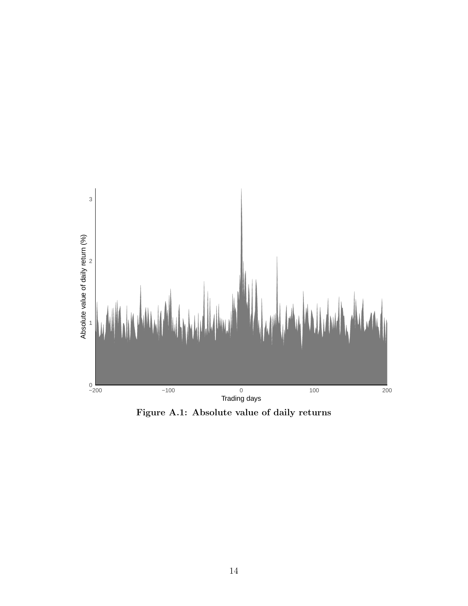<span id="page-14-0"></span>

Figure A.1: Absolute value of daily returns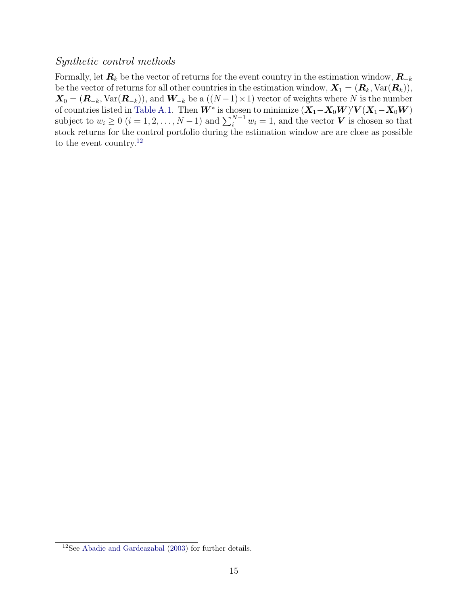### Synthetic control methods

Formally, let  $\mathbf{R}_k$  be the vector of returns for the event country in the estimation window,  $\mathbf{R}_{-k}$ be the vector of returns for all other countries in the estimation window,  $\mathbf{X}_1 = (\mathbf{R}_k, \text{Var}(\mathbf{R}_k)),$  $\mathbf{X}_0 = (\mathbf{R}_{-k}, \text{Var}(\mathbf{R}_{-k}))$ , and  $\mathbf{W}_{-k}$  be a  $((N-1) \times 1)$  vector of weights where N is the number of countries listed in [Table A.1.](#page-12-0) Then  $W^*$  is chosen to minimize  $(X_1 - X_0 W)'V(X_1 - X_0 W)$ subject to  $w_i \geq 0$   $(i = 1, 2, ..., N - 1)$  and  $\sum_{i=1}^{N-1} w_i = 1$ , and the vector **V** is chosen so that stock returns for the control portfolio during the estimation window are are close as possible to the event country.<sup>[12](#page-15-0)</sup>

<span id="page-15-0"></span><sup>12</sup>See [Abadie and Gardeazabal](#page-10-19) [\(2003\)](#page-10-19) for further details.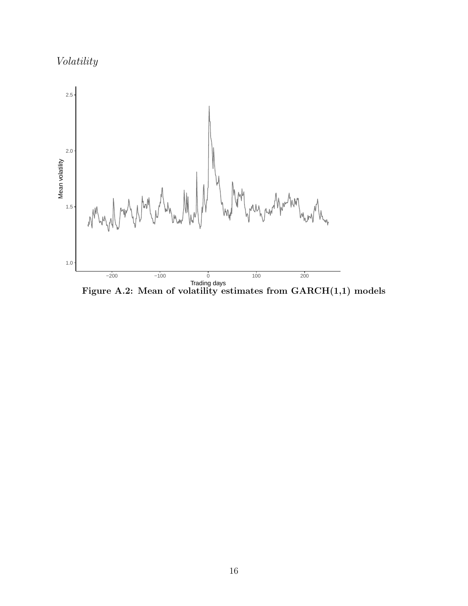Volatility

<span id="page-16-0"></span>

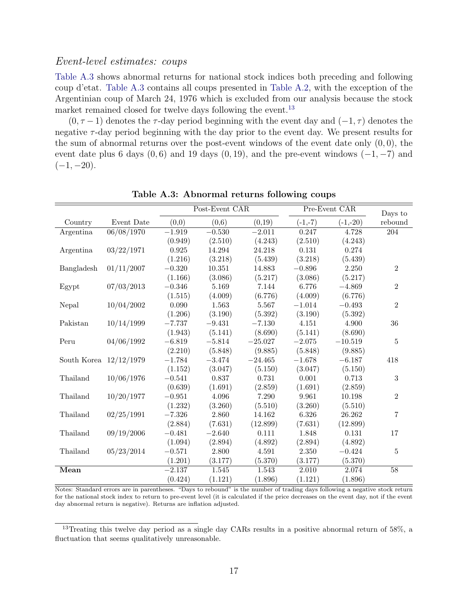#### Event-level estimates: coups

[Table A.3](#page-17-0) shows abnormal returns for national stock indices both preceding and following coup d'etat. [Table A.3](#page-17-0) contains all coups presented in [Table A.2,](#page-13-0) with the exception of the Argentinian coup of March 24, 1976 which is excluded from our analysis because the stock market remained closed for twelve days following the event.<sup>[13](#page-17-1)</sup>

 $(0, \tau - 1)$  denotes the  $\tau$ -day period beginning with the event day and  $(-1, \tau)$  denotes the negative  $\tau$ -day period beginning with the day prior to the event day. We present results for the sum of abnormal returns over the post-event windows of the event date only  $(0, 0)$ , the event date plus 6 days  $(0, 6)$  and 19 days  $(0, 19)$ , and the pre-event windows  $(-1, -7)$  and  $(-1, -20)$ .

<span id="page-17-0"></span>

|                          |            | Post-Event CAR |          |           |           | Pre-Event CAR |                    |  |
|--------------------------|------------|----------------|----------|-----------|-----------|---------------|--------------------|--|
| Country                  | Event Date | (0,0)          | (0,6)    | (0,19)    | $(-1,-7)$ | $(-1,-20)$    | Days to<br>rebound |  |
| Argentina                | 06/08/1970 | $-1.919$       | $-0.530$ | $-2.011$  | 0.247     | 4.728         | 204                |  |
|                          |            | (0.949)        | (2.510)  | (4.243)   | (2.510)   | (4.243)       |                    |  |
| Argentina                | 03/22/1971 | 0.925          | 14.294   | 24.218    | 0.131     | 0.274         |                    |  |
|                          |            | (1.216)        | (3.218)  | (5.439)   | (3.218)   | (5.439)       |                    |  |
| Bangladesh               | 01/11/2007 | $-0.320$       | 10.351   | 14.883    | $-0.896$  | 2.250         | $\overline{2}$     |  |
|                          |            | (1.166)        | (3.086)  | (5.217)   | (3.086)   | (5.217)       |                    |  |
| Egypt                    | 07/03/2013 | $-0.346$       | 5.169    | 7.144     | 6.776     | $-4.869$      | $\overline{2}$     |  |
|                          |            | (1.515)        | (4.009)  | (6.776)   | (4.009)   | (6.776)       |                    |  |
| Nepal                    | 10/04/2002 | 0.090          | 1.563    | 5.567     | $-1.014$  | $-0.493$      | $\overline{2}$     |  |
|                          |            | (1.206)        | (3.190)  | (5.392)   | (3.190)   | (5.392)       |                    |  |
| Pakistan                 | 10/14/1999 | $-7.737$       | $-9.431$ | $-7.130$  | 4.151     | 4.900         | 36                 |  |
|                          |            | (1.943)        | (5.141)  | (8.690)   | (5.141)   | (8.690)       |                    |  |
| Peru                     | 04/06/1992 | $-6.819$       | $-5.814$ | $-25.027$ | $-2.075$  | $-10.519$     | 5                  |  |
|                          |            | (2.210)        | (5.848)  | (9.885)   | (5.848)   | (9.885)       |                    |  |
| South Korea $12/12/1979$ |            | $-1.784$       | $-3.474$ | $-24.465$ | $-1.678$  | $-6.187$      | 418                |  |
|                          |            | (1.152)        | (3.047)  | (5.150)   | (3.047)   | (5.150)       |                    |  |
| Thailand                 | 10/06/1976 | $-0.541$       | 0.837    | 0.731     | 0.001     | 0.713         | 3                  |  |
|                          |            | (0.639)        | (1.691)  | (2.859)   | (1.691)   | (2.859)       |                    |  |
| Thailand                 | 10/20/1977 | $-0.951$       | 4.096    | 7.290     | 9.961     | 10.198        | $\overline{2}$     |  |
|                          |            | (1.232)        | (3.260)  | (5.510)   | (3.260)   | (5.510)       |                    |  |
| Thailand                 | 02/25/1991 | $-7.326$       | 2.860    | 14.162    | 6.326     | 26.262        | $\overline{7}$     |  |
|                          |            | (2.884)        | (7.631)  | (12.899)  | (7.631)   | (12.899)      |                    |  |
| Thailand                 | 09/19/2006 | $-0.481$       | $-2.640$ | 0.111     | 1.848     | 0.131         | 17                 |  |
|                          |            | (1.094)        | (2.894)  | (4.892)   | (2.894)   | (4.892)       |                    |  |
| Thailand                 | 05/23/2014 | $-0.571$       | 2.800    | 4.591     | 2.350     | $-0.424$      | 5                  |  |
|                          |            | (1.201)        | (3.177)  | (5.370)   | (3.177)   | (5.370)       |                    |  |
| Mean                     |            | $-2.137$       | 1.545    | 1.543     | 2.010     | 2.074         | $\overline{58}$    |  |
|                          |            | (0.424)        | (1.121)  | (1.896)   | (1.121)   | (1.896)       |                    |  |

Table A.3: Abnormal returns following coups

Notes: Standard errors are in parentheses. "Days to rebound" is the number of trading days following a negative stock return for the national stock index to return to pre-event level (it is calculated if the price decreases on the event day, not if the event day abnormal return is negative). Returns are inflation adjusted.

<span id="page-17-1"></span><sup>13</sup>Treating this twelve day period as a single day CARs results in a positive abnormal return of 58%, a fluctuation that seems qualitatively unreasonable.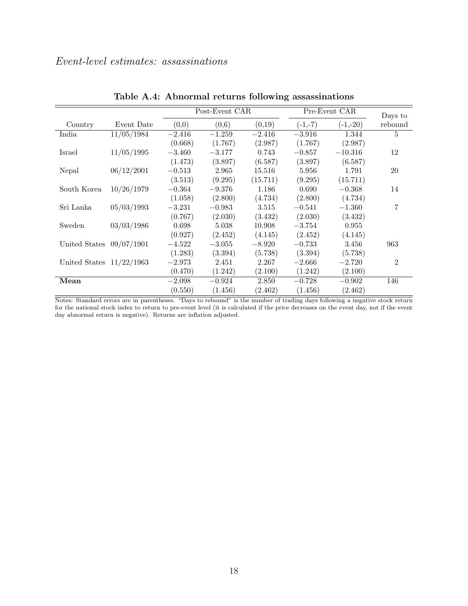|                            |            | Post-Event CAR |          |          | Pre-Event CAR |            | Days to        |
|----------------------------|------------|----------------|----------|----------|---------------|------------|----------------|
| Country                    | Event Date | (0,0)          | (0,6)    | (0,19)   | $(-1,-7)$     | $(-1,-20)$ | rebound        |
| India                      | 11/05/1984 | $-2.416$       | $-1.259$ | $-2.416$ | $-3.916$      | 1.344      | 5              |
|                            |            | (0.668)        | (1.767)  | (2.987)  | (1.767)       | (2.987)    |                |
| Israel                     | 11/05/1995 | $-3.460$       | $-3.177$ | 0.743    | $-0.857$      | $-10.316$  | 12             |
|                            |            | (1.473)        | (3.897)  | (6.587)  | (3.897)       | (6.587)    |                |
| Nepal                      | 06/12/2001 | $-0.513$       | 2.965    | 15.516   | 5.956         | 1.791      | 20             |
|                            |            | (3.513)        | (9.295)  | (15.711) | (9.295)       | (15.711)   |                |
| South Korea                | 10/26/1979 | $-0.364$       | $-9.376$ | 1.186    | 0.690         | $-0.368$   | 14             |
|                            |            | (1.058)        | (2.800)  | (4.734)  | (2.800)       | (4.734)    |                |
| Sri Lanka                  | 05/03/1993 | $-3.231$       | $-0.983$ | 3.515    | $-0.541$      | $-1.360$   | 7              |
|                            |            | (0.767)        | (2.030)  | (3.432)  | (2.030)       | (3.432)    |                |
| Sweden                     | 03/03/1986 | 0.698          | 5.038    | 10.908   | $-3.754$      | 0.955      |                |
|                            |            | (0.927)        | (2.452)  | (4.145)  | (2.452)       | (4.145)    |                |
| United States $09/07/1901$ |            | $-4.522$       | $-3.055$ | $-8.920$ | $-0.733$      | 3.456      | 963            |
|                            |            | (1.283)        | (3.394)  | (5.738)  | (3.394)       | (5.738)    |                |
| United States $11/22/1963$ |            | $-2.973$       | 2.451    | 2.267    | $-2.666$      | $-2.720$   | $\overline{2}$ |
|                            |            | (0.470)        | (1.242)  | (2.100)  | (1.242)       | (2.100)    |                |
| Mean                       |            | $-2.098$       | $-0.924$ | 2.850    | $-0.728$      | $-0.902$   | 146            |
|                            |            | (0.550)        | (1.456)  | (2.462)  | (1.456)       | (2.462)    |                |

Table A.4: Abnormal returns following assassinations

Notes: Standard errors are in parentheses. "Days to rebound" is the number of trading days following a negative stock return for the national stock index to return to pre-event level (it is calculated if the price decreases on the event day, not if the event day abnormal return is negative). Returns are inflation adjusted.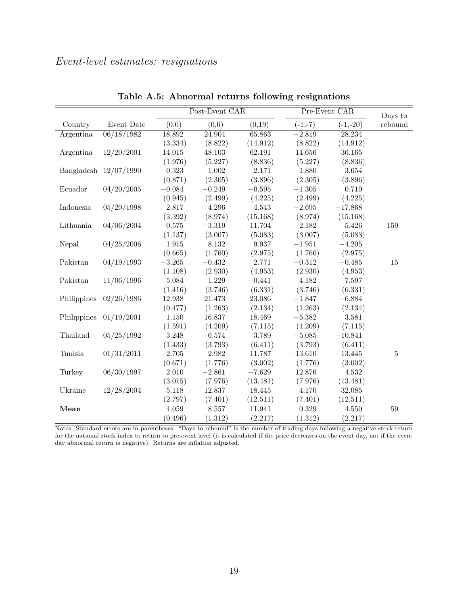<span id="page-19-1"></span><span id="page-19-0"></span>

|             |                         | Post-Event CAR |          |           |           | Pre-Event CAR |                    |  |
|-------------|-------------------------|----------------|----------|-----------|-----------|---------------|--------------------|--|
| Country     | Event Date              | (0,0)          | (0,6)    | (0,19)    | $(-1,-7)$ | $(-1,-20)$    | Days to<br>rebound |  |
| Argentina   | 06/18/1982              | 18.892         | 24.904   | 65.863    | $-2.819$  | 28.234        |                    |  |
|             |                         | (3.334)        | (8.822)  | (14.912)  | (8.822)   | (14.912)      |                    |  |
| Argentina   | 12/20/2001              | 14.015         | 48.103   | 62.191    | 14.656    | 36.165        |                    |  |
|             |                         | (1.976)        | (5.227)  | (8.836)   | (5.227)   | (8.836)       |                    |  |
|             | Bangladesh $12/07/1990$ | 0.323          | 1.002    | 2.171     | 1.880     | 3.654         |                    |  |
|             |                         | (0.871)        | (2.305)  | (3.896)   | (2.305)   | (3.896)       |                    |  |
| Ecuador     | 04/20/2005              | $-0.084$       | $-0.249$ | $-0.595$  | $-1.305$  | 0.710         |                    |  |
|             |                         | (0.945)        | (2.499)  | (4.225)   | (2.499)   | (4.225)       |                    |  |
| Indonesia   | 05/20/1998              | 2.817          | 4.296    | 4.543     | $-2.695$  | $-17.868$     |                    |  |
|             |                         | (3.392)        | (8.974)  | (15.168)  | (8.974)   | (15.168)      |                    |  |
| Lithuania   | 04/06/2004              | $-0.575$       | $-3.319$ | $-11.704$ | 2.182     | 5.426         | 159                |  |
|             |                         | (1.137)        | (3.007)  | (5.083)   | (3.007)   | (5.083)       |                    |  |
| Nepal       | 04/25/2006              | 1.915          | 8.132    | 9.937     | $-1.951$  | $-4.205$      |                    |  |
|             |                         | (0.665)        | (1.760)  | (2.975)   | (1.760)   | (2.975)       |                    |  |
| Pakistan    | 04/19/1993              | $-3.265$       | $-0.432$ | 2.771     | $-0.312$  | $-0.485$      | 15                 |  |
|             |                         | (1.108)        | (2.930)  | (4.953)   | (2.930)   | (4.953)       |                    |  |
| Pakistan    | 11/06/1996              | 5.084          | 1.229    | $-0.441$  | 4.182     | 7.597         |                    |  |
|             |                         | (1.416)        | (3.746)  | (6.331)   | (3.746)   | (6.331)       |                    |  |
| Philippines | 02/26/1986              | 12.938         | 21.473   | 23.086    | $-1.847$  | $-6.884$      |                    |  |
|             |                         | (0.477)        | (1.263)  | (2.134)   | (1.263)   | (2.134)       |                    |  |
| Philippines | 01/19/2001              | $1.150\,$      | 16.837   | 18.469    | $-5.382$  | 3.581         |                    |  |
|             |                         | (1.591)        | (4.209)  | (7.115)   | (4.209)   | (7.115)       |                    |  |
| Thailand    | 05/25/1992              | 3.248          | $-6.574$ | 3.789     | $-5.085$  | $-10.841$     |                    |  |
|             |                         | (1.433)        | (3.793)  | (6.411)   | (3.793)   | (6.411)       |                    |  |
| Tunisia     | 01/31/2011              | $-2.705$       | 2.982    | $-11.787$ | $-13.610$ | $-13.445$     | $\overline{5}$     |  |
|             |                         | (0.671)        | (1.776)  | (3.002)   | (1.776)   | (3.002)       |                    |  |
| Turkey      | 06/30/1997              | 2.010          | $-2.861$ | $-7.629$  | 12.876    | 4.532         |                    |  |
|             |                         | (3.015)        | (7.976)  | (13.481)  | (7.976)   | (13.481)      |                    |  |
| Ukraine     | 12/28/2004              | 5.118          | 12.837   | 18.445    | 4.170     | 32.085        |                    |  |
|             |                         | (2.797)        | (7.401)  | (12.511)  | (7.401)   | (12.511)      |                    |  |
| Mean        |                         | 4.059          | 8.557    | 11.941    | 0.329     | 4.550         | $59\,$             |  |
|             |                         | (0.496)        | (1.312)  | (2.217)   | (1.312)   | (2.217)       |                    |  |

Table A.5: Abnormal returns following resignations

Notes: Standard errors are in parentheses. "Days to rebound" is the number of trading days following a negative stock return for the national stock index to return to pre-event level (it is calculated if the price decreases on the event day, not if the event day abnormal return is negative). Returns are inflation adjusted.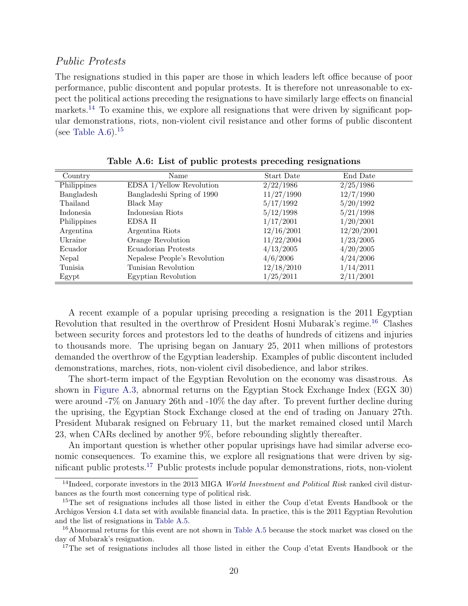#### Public Protests

The resignations studied in this paper are those in which leaders left office because of poor performance, public discontent and popular protests. It is therefore not unreasonable to expect the political actions preceding the resignations to have similarly large effects on financial markets.<sup>[14](#page-20-0)</sup> To examine this, we explore all resignations that were driven by significant popular demonstrations, riots, non-violent civil resistance and other forms of public discontent (see [Table A.6\)](#page-20-1).<sup>[15](#page-20-2)</sup>

<span id="page-20-1"></span>

| Country     | Name                         | Start Date | End Date   |
|-------------|------------------------------|------------|------------|
| Philippines | EDSA 1/Yellow Revolution     | 2/22/1986  | 2/25/1986  |
| Bangladesh  | Bangladeshi Spring of 1990   | 11/27/1990 | 12/7/1990  |
| Thailand    | Black May                    | 5/17/1992  | 5/20/1992  |
| Indonesia   | Indonesian Riots             | 5/12/1998  | 5/21/1998  |
| Philippines | EDSA II                      | 1/17/2001  | 1/20/2001  |
| Argentina   | Argentina Riots              | 12/16/2001 | 12/20/2001 |
| Ukraine     | Orange Revolution            | 11/22/2004 | 1/23/2005  |
| Ecuador     | Ecuadorian Protests          | 4/13/2005  | 4/20/2005  |
| Nepal       | Nepalese People's Revolution | 4/6/2006   | 4/24/2006  |
| Tunisia     | Tunisian Revolution          | 12/18/2010 | 1/14/2011  |
| Egypt       | Egyptian Revolution          | 1/25/2011  | 2/11/2001  |

Table A.6: List of public protests preceding resignations

A recent example of a popular uprising preceding a resignation is the 2011 Egyptian Revolution that resulted in the overthrow of President Hosni Mubarak's regime.[16](#page-20-3) Clashes between security forces and protestors led to the deaths of hundreds of citizens and injuries to thousands more. The uprising began on January 25, 2011 when millions of protestors demanded the overthrow of the Egyptian leadership. Examples of public discontent included demonstrations, marches, riots, non-violent civil disobedience, and labor strikes.

The short-term impact of the Egyptian Revolution on the economy was disastrous. As shown in [Figure A.3,](#page-21-0) abnormal returns on the Egyptian Stock Exchange Index (EGX 30) were around -7% on January 26th and -10% the day after. To prevent further decline during the uprising, the Egyptian Stock Exchange closed at the end of trading on January 27th. President Mubarak resigned on February 11, but the market remained closed until March 23, when CARs declined by another 9%, before rebounding slightly thereafter.

An important question is whether other popular uprisings have had similar adverse economic consequences. To examine this, we explore all resignations that were driven by significant public protests.[17](#page-20-4) Public protests include popular demonstrations, riots, non-violent

<span id="page-20-0"></span><sup>&</sup>lt;sup>14</sup>Indeed, corporate investors in the 2013 MIGA World Investment and Political Risk ranked civil disturbances as the fourth most concerning type of political risk.

<span id="page-20-2"></span><sup>&</sup>lt;sup>15</sup>The set of resignations includes all those listed in either the Coup d'etat Events Handbook or the Archigos Version 4.1 data set with available financial data. In practice, this is the 2011 Egyptian Revolution and the list of resignations in [Table A.5.](#page-19-0)

<span id="page-20-3"></span><sup>16</sup>Abnormal returns for this event are not shown in [Table A.5](#page-19-0) because the stock market was closed on the day of Mubarak's resignation.

<span id="page-20-4"></span><sup>&</sup>lt;sup>17</sup>The set of resignations includes all those listed in either the Coup d'etat Events Handbook or the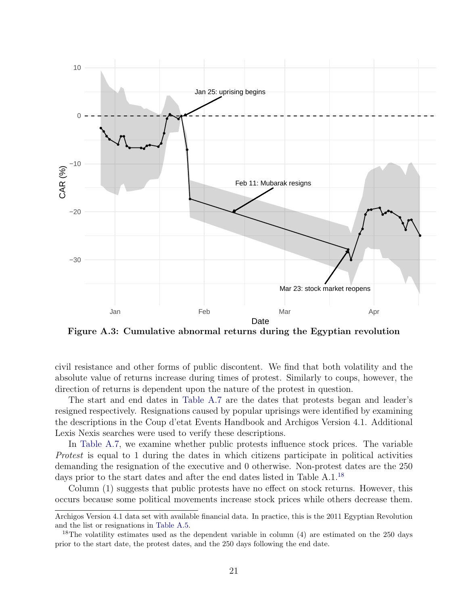<span id="page-21-0"></span>

Figure A.3: Cumulative abnormal returns during the Egyptian revolution

civil resistance and other forms of public discontent. We find that both volatility and the absolute value of returns increase during times of protest. Similarly to coups, however, the direction of returns is dependent upon the nature of the protest in question.

The start and end dates in [Table A.7](#page-22-0) are the dates that protests began and leader's resigned respectively. Resignations caused by popular uprisings were identified by examining the descriptions in the Coup d'etat Events Handbook and Archigos Version 4.1. Additional Lexis Nexis searches were used to verify these descriptions.

In [Table A.7,](#page-22-0) we examine whether public protests influence stock prices. The variable Protest is equal to 1 during the dates in which citizens participate in political activities demanding the resignation of the executive and 0 otherwise. Non-protest dates are the 250 days prior to the start dates and after the end dates listed in Table A.1.<sup>[18](#page-21-1)</sup>

Column (1) suggests that public protests have no effect on stock returns. However, this occurs because some political movements increase stock prices while others decrease them.

Archigos Version 4.1 data set with available financial data. In practice, this is the 2011 Egyptian Revolution and the list or resignations in [Table A.5.](#page-19-0)

<span id="page-21-1"></span><sup>&</sup>lt;sup>18</sup>The volatility estimates used as the dependent variable in column  $(4)$  are estimated on the 250 days prior to the start date, the protest dates, and the 250 days following the end date.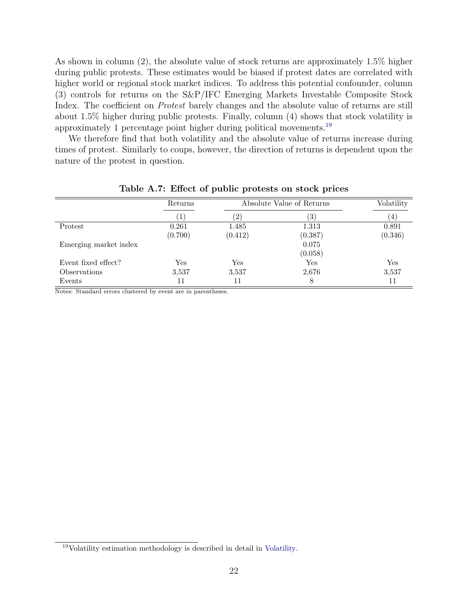As shown in column (2), the absolute value of stock returns are approximately 1.5% higher during public protests. These estimates would be biased if protest dates are correlated with higher world or regional stock market indices. To address this potential confounder, column (3) controls for returns on the S&P/IFC Emerging Markets Investable Composite Stock Index. The coefficient on Protest barely changes and the absolute value of returns are still about 1.5% higher during public protests. Finally, column (4) shows that stock volatility is approximately 1 percentage point higher during political movements.[19](#page-22-1)

We therefore find that both volatility and the absolute value of returns increase during times of protest. Similarly to coups, however, the direction of returns is dependent upon the nature of the protest in question.

<span id="page-22-0"></span>

|                       | Returns              | Absolute Value of Returns | Volatility |         |
|-----------------------|----------------------|---------------------------|------------|---------|
|                       | $\perp$              | (2)                       | 3)         | (4)     |
| Protest               | 0.261                | 1.485                     | 1.313      | 0.891   |
|                       | (0.700)              | (0.412)                   | (0.387)    | (0.346) |
| Emerging market index |                      |                           | 0.075      |         |
|                       |                      |                           | (0.058)    |         |
| Event fixed effect?   | $\operatorname{Yes}$ | Yes                       | Yes        | Yes     |
| Observations          | 3,537                | 3,537                     | 2,676      | 3,537   |
| Events                | 11                   | 11                        | 8          | 11      |

Table A.7: Effect of public protests on stock prices

Notes: Standard errors clustered by event are in parentheses.

<span id="page-22-1"></span><sup>19</sup>Volatility estimation methodology is described in detail in [Volatility.](#page-0-0)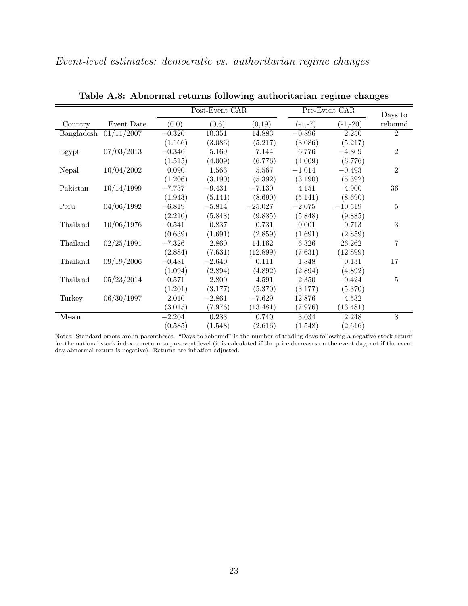<span id="page-23-0"></span>

|                                                                   |            |          | Post-Event CAR |           |           | Pre-Event CAR |                    |  |
|-------------------------------------------------------------------|------------|----------|----------------|-----------|-----------|---------------|--------------------|--|
| Country                                                           | Event Date | (0,0)    | (0,6)          | (0,19)    | $(-1,-7)$ | $(-1,-20)$    | Days to<br>rebound |  |
| Bangladesh                                                        | 01/11/2007 | $-0.320$ | 10.351         | 14.883    | $-0.896$  | 2.250         | $\overline{2}$     |  |
|                                                                   |            | (1.166)  | (3.086)        | (5.217)   | (3.086)   | (5.217)       |                    |  |
| Egypt                                                             | 07/03/2013 | $-0.346$ | 5.169          | 7.144     | 6.776     | $-4.869$      | $\overline{2}$     |  |
|                                                                   |            | (1.515)  | (4.009)        | (6.776)   | (4.009)   | (6.776)       |                    |  |
| Nepal                                                             | 10/04/2002 | 0.090    | 1.563          | 5.567     | $-1.014$  | $-0.493$      | $\overline{2}$     |  |
|                                                                   |            | (1.206)  | (3.190)        | (5.392)   | (3.190)   | (5.392)       |                    |  |
| Pakistan                                                          | 10/14/1999 | $-7.737$ | $-9.431$       | $-7.130$  | 4.151     | 4.900         | 36                 |  |
|                                                                   |            | (1.943)  | (5.141)        | (8.690)   | (5.141)   | (8.690)       |                    |  |
| Peru                                                              | 04/06/1992 | $-6.819$ | $-5.814$       | $-25.027$ | $-2.075$  | $-10.519$     | 5                  |  |
|                                                                   |            | (2.210)  | (5.848)        | (9.885)   | (5.848)   | (9.885)       |                    |  |
| Thailand                                                          | 10/06/1976 | $-0.541$ | 0.837          | 0.731     | 0.001     | 0.713         | 3                  |  |
|                                                                   |            | (0.639)  | (1.691)        | (2.859)   | (1.691)   | (2.859)       |                    |  |
| Thailand                                                          | 02/25/1991 | $-7.326$ | 2.860          | 14.162    | 6.326     | 26.262        | 7                  |  |
|                                                                   |            | (2.884)  | (7.631)        | (12.899)  | (7.631)   | (12.899)      |                    |  |
| Thailand                                                          | 09/19/2006 | $-0.481$ | $-2.640$       | 0.111     | 1.848     | 0.131         | 17                 |  |
|                                                                   |            | (1.094)  | (2.894)        | (4.892)   | (2.894)   | (4.892)       |                    |  |
| Thailand                                                          | 05/23/2014 | $-0.571$ | 2.800          | 4.591     | 2.350     | $-0.424$      | 5                  |  |
|                                                                   |            | (1.201)  | (3.177)        | (5.370)   | (3.177)   | (5.370)       |                    |  |
| Turkey                                                            | 06/30/1997 | 2.010    | $-2.861$       | $-7.629$  | 12.876    | 4.532         |                    |  |
|                                                                   |            | (3.015)  | (7.976)        | (13.481)  | (7.976)   | (13.481)      |                    |  |
| Mean                                                              |            | $-2.204$ | 0.283          | 0.740     | 3.034     | 2.248         | 8                  |  |
| $\overline{\alpha}$ .<br>$\overline{\mathbf{1} \cdot \mathbf{1}}$ |            | (0.585)  | (1.548)        | (2.616)   | (1.548)   | (2.616)       |                    |  |

Table A.8: Abnormal returns following authoritarian regime changes

Notes: Standard errors are in parentheses. "Days to rebound" is the number of trading days following a negative stock return for the national stock index to return to pre-event level (it is calculated if the price decreases on the event day, not if the event day abnormal return is negative). Returns are inflation adjusted.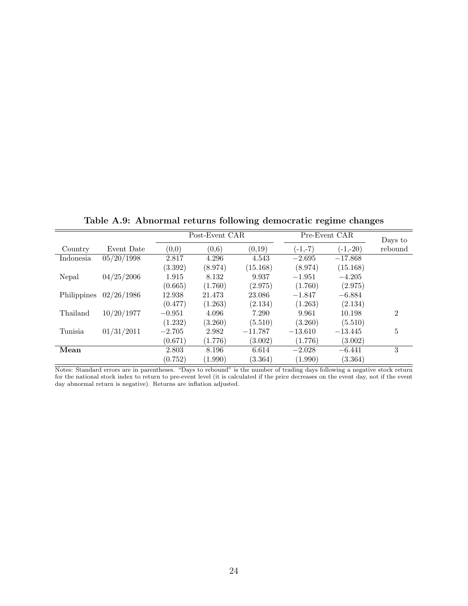<span id="page-24-1"></span><span id="page-24-0"></span>

|             |            | Post-Event CAR |         |           | Pre-Event CAR | Days to    |                |
|-------------|------------|----------------|---------|-----------|---------------|------------|----------------|
| Country     | Event Date | (0,0)          | (0,6)   | (0,19)    | $(-1,-7)$     | $(-1,-20)$ | rebound        |
| Indonesia   | 05/20/1998 | 2.817          | 4.296   | 4.543     | $-2.695$      | $-17.868$  |                |
|             |            | (3.392)        | (8.974) | (15.168)  | (8.974)       | (15.168)   |                |
| Nepal       | 04/25/2006 | 1.915          | 8.132   | 9.937     | $-1.951$      | $-4.205$   |                |
|             |            | (0.665)        | (1.760) | (2.975)   | (1.760)       | (2.975)    |                |
| Philippines | 02/26/1986 | 12.938         | 21.473  | 23.086    | $-1.847$      | $-6.884$   |                |
|             |            | (0.477)        | (1.263) | (2.134)   | (1.263)       | (2.134)    |                |
| Thailand    | 10/20/1977 | $-0.951$       | 4.096   | 7.290     | 9.961         | 10.198     | $\overline{2}$ |
|             |            | (1.232)        | (3.260) | (5.510)   | (3.260)       | (5.510)    |                |
| Tunisia     | 01/31/2011 | $-2.705$       | 2.982   | $-11.787$ | $-13.610$     | $-13.445$  | 5              |
|             |            | (0.671)        | (1.776) | (3.002)   | (1.776)       | (3.002)    |                |
| Mean        |            | 2.803          | 8.196   | 6.614     | $-2.028$      | $-6.441$   | 3              |
|             |            | (0.752)        | (1.990) | (3.364)   | (1.990)       | (3.364)    |                |

Table A.9: Abnormal returns following democratic regime changes

Notes: Standard errors are in parentheses. "Days to rebound" is the number of trading days following a negative stock return for the national stock index to return to pre-event level (it is calculated if the price decreases on the event day, not if the event day abnormal return is negative). Returns are inflation adjusted.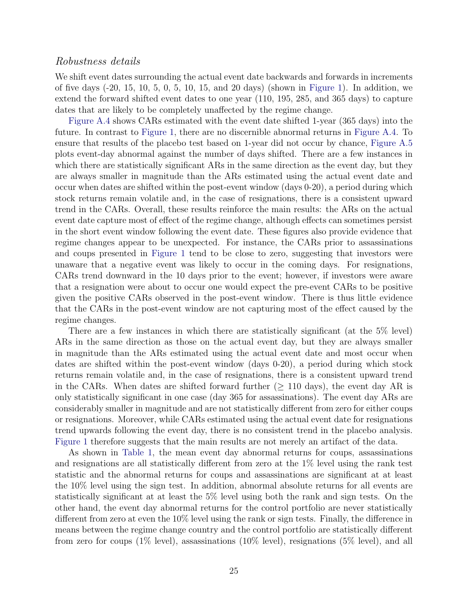#### Robustness details

We shift event dates surrounding the actual event date backwards and forwards in increments of five days (-20, 15, 10, 5, 0, 5, 10, 15, and 20 days) (shown in [Figure 1\)](#page-5-0). In addition, we extend the forward shifted event dates to one year (110, 195, 285, and 365 days) to capture dates that are likely to be completely unaffected by the regime change.

[Figure A.4](#page-26-0) shows CARs estimated with the event date shifted 1-year (365 days) into the future. In contrast to [Figure 1,](#page-5-0) there are no discernible abnormal returns in [Figure A.4.](#page-26-0) To ensure that results of the placebo test based on 1-year did not occur by chance, [Figure A.5](#page-27-0) plots event-day abnormal against the number of days shifted. There are a few instances in which there are statistically significant ARs in the same direction as the event day, but they are always smaller in magnitude than the ARs estimated using the actual event date and occur when dates are shifted within the post-event window (days 0-20), a period during which stock returns remain volatile and, in the case of resignations, there is a consistent upward trend in the CARs. Overall, these results reinforce the main results: the ARs on the actual event date capture most of effect of the regime change, although effects can sometimes persist in the short event window following the event date. These figures also provide evidence that regime changes appear to be unexpected. For instance, the CARs prior to assassinations and coups presented in [Figure 1](#page-5-0) tend to be close to zero, suggesting that investors were unaware that a negative event was likely to occur in the coming days. For resignations, CARs trend downward in the 10 days prior to the event; however, if investors were aware that a resignation were about to occur one would expect the pre-event CARs to be positive given the positive CARs observed in the post-event window. There is thus little evidence that the CARs in the post-event window are not capturing most of the effect caused by the regime changes.

There are a few instances in which there are statistically significant (at the 5% level) ARs in the same direction as those on the actual event day, but they are always smaller in magnitude than the ARs estimated using the actual event date and most occur when dates are shifted within the post-event window (days 0-20), a period during which stock returns remain volatile and, in the case of resignations, there is a consistent upward trend in the CARs. When dates are shifted forward further ( $\geq$  110 days), the event day AR is only statistically significant in one case (day 365 for assassinations). The event day ARs are considerably smaller in magnitude and are not statistically different from zero for either coups or resignations. Moreover, while CARs estimated using the actual event date for resignations trend upwards following the event day, there is no consistent trend in the placebo analysis. [Figure 1](#page-5-0) therefore suggests that the main results are not merely an artifact of the data.

As shown in [Table 1,](#page-8-0) the mean event day abnormal returns for coups, assassinations and resignations are all statistically different from zero at the 1% level using the rank test statistic and the abnormal returns for coups and assassinations are significant at at least the 10% level using the sign test. In addition, abnormal absolute returns for all events are statistically significant at at least the 5% level using both the rank and sign tests. On the other hand, the event day abnormal returns for the control portfolio are never statistically different from zero at even the 10% level using the rank or sign tests. Finally, the difference in means between the regime change country and the control portfolio are statistically different from zero for coups (1% level), assassinations (10% level), resignations (5% level), and all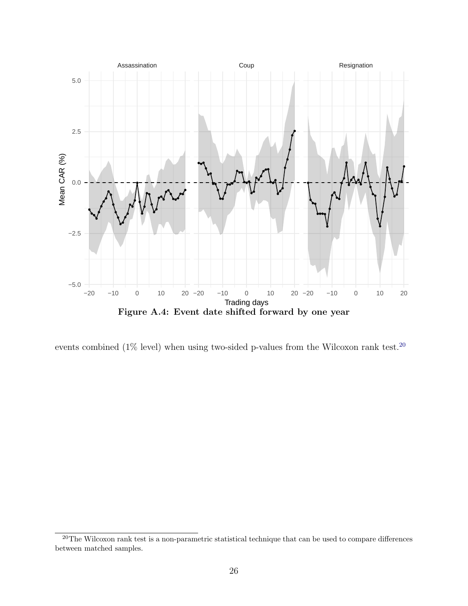<span id="page-26-0"></span>

events combined (1% level) when using two-sided p-values from the Wilcoxon rank test.<sup>[20](#page-26-1)</sup>

<span id="page-26-1"></span><sup>&</sup>lt;sup>20</sup>The Wilcoxon rank test is a non-parametric statistical technique that can be used to compare differences between matched samples.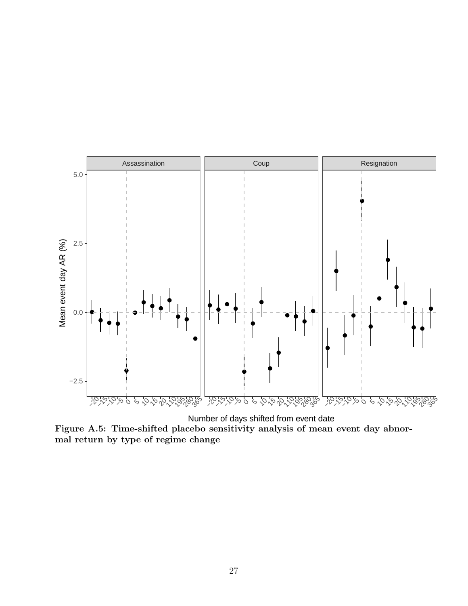<span id="page-27-0"></span>

Number of days shifted from event date Figure A.5: Time-shifted placebo sensitivity analysis of mean event day abnormal return by type of regime change